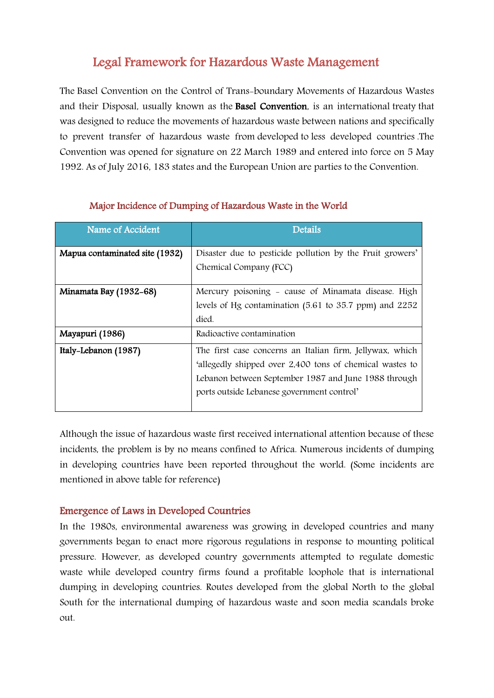# Legal Framework for Hazardous Waste Management

The Basel Convention on the Control of Trans-boundary Movements of Hazardous Wastes and their Disposal, usually known as the Basel Convention, is an international [treaty](https://en.wikipedia.org/wiki/Treaty) that was designed to reduce the movements of [hazardous waste](https://en.wikipedia.org/wiki/Hazardous_waste) between nations and specifically to prevent transfer of hazardous waste from [developed](https://en.wikipedia.org/wiki/Developed_countries) to [less developed countries](https://en.wikipedia.org/wiki/Less_Developed_Countries) .The Convention was opened for signature on 22 March 1989 and entered into force on 5 May 1992. As of July 2016, 183 states and the European Union are parties to the Convention.

| Name of Accident               | Details                                                   |
|--------------------------------|-----------------------------------------------------------|
| Mapua contaminated site (1932) | Disaster due to pesticide pollution by the Fruit growers' |
|                                | Chemical Company (FCC)                                    |
| Minamata Bay (1932-68)         | Mercury poisoning - cause of Minamata disease. High       |
|                                | levels of Hg contamination (5.61 to 35.7 ppm) and 2252    |
|                                | died.                                                     |
| Mayapuri (1986)                | Radioactive contamination                                 |
| Italy-Lebanon (1987)           | The first case concerns an Italian firm, Jellywax, which  |
|                                | 'allegedly shipped over 2,400 tons of chemical wastes to  |
|                                | Lebanon between September 1987 and June 1988 through      |
|                                | ports outside Lebanese government control'                |
|                                |                                                           |

## Major Incidence of Dumping of Hazardous Waste in the World

Although the issue of hazardous waste first received international attention because of these incidents, the problem is by no means confined to Africa. Numerous incidents of dumping in developing countries have been reported throughout the world. (Some incidents are mentioned in above table for reference)

## Emergence of Laws in Developed Countries

In the 1980s, environmental awareness was growing in developed countries and many governments began to enact more rigorous regulations in response to mounting political pressure. However, as developed country governments attempted to regulate domestic waste while developed country firms found a profitable loophole that is international dumping in developing countries. Routes developed from the global North to the global South for the international dumping of hazardous waste and soon media scandals broke out.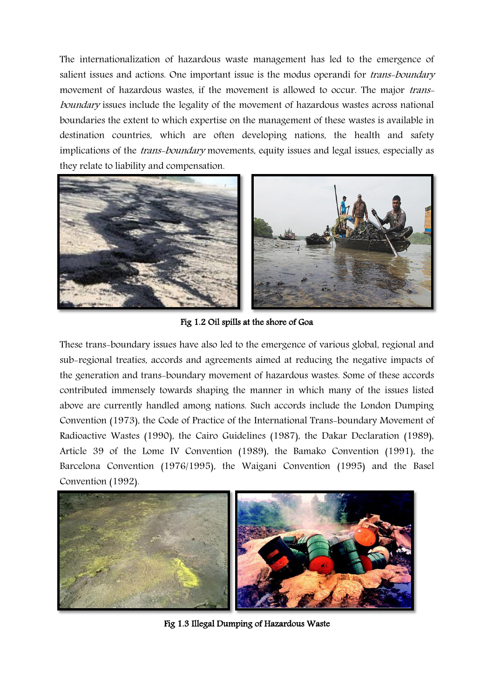The internationalization of hazardous waste management has led to the emergence of salient issues and actions. One important issue is the modus operandi for *trans-boundary* movement of hazardous wastes, if the movement is allowed to occur. The major transboundary issues include the legality of the movement of hazardous wastes across national boundaries the extent to which expertise on the management of these wastes is available in destination countries, which are often developing nations, the health and safety implications of the *trans-boundary* movements, equity issues and legal issues, especially as they relate to liability and compensation.



Fig 1.2 Oil spills at the shore of Goa

These trans-boundary issues have also led to the emergence of various global, regional and sub-regional treaties, accords and agreements aimed at reducing the negative impacts of the generation and trans-boundary movement of hazardous wastes. Some of these accords contributed immensely towards shaping the manner in which many of the issues listed above are currently handled among nations. Such accords include the London Dumping Convention (1973), the Code of Practice of the International Trans-boundary Movement of Radioactive Wastes (1990), the Cairo Guidelines (1987), the Dakar Declaration (1989), Article 39 of the Lome IV Convention (1989), the Bamako Convention (1991), the Barcelona Convention (1976/1995), the Waigani Convention (1995) and the Basel Convention (1992).



Fig 1.3 Illegal Dumping of Hazardous Waste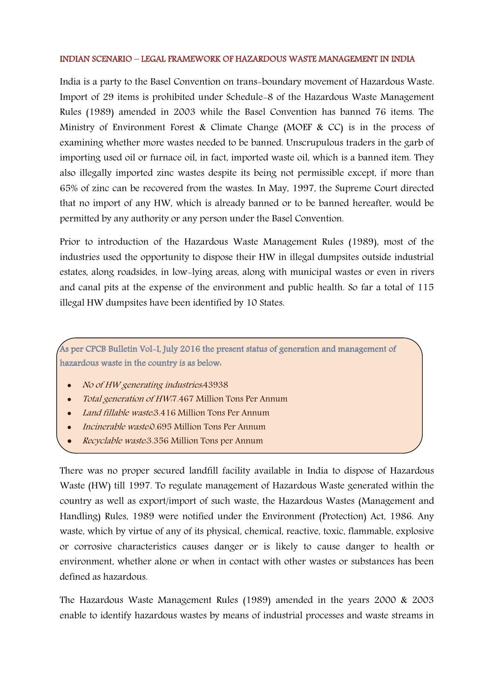### INDIAN SCENARIO – LEGAL FRAMEWORK OF HAZARDOUS WASTE MANAGEMENT IN INDIA

India is a party to the Basel Convention on trans-boundary movement of Hazardous Waste. Import of 29 items is prohibited under Schedule-8 of the Hazardous Waste Management Rules (1989) amended in 2003 while the Basel Convention has banned 76 items. The Ministry of Environment Forest & Climate Change (MOEF & CC) is in the process of examining whether more wastes needed to be banned. Unscrupulous traders in the garb of importing used oil or furnace oil, in fact, imported waste oil, which is a banned item. They also illegally imported zinc wastes despite its being not permissible except, if more than 65% of zinc can be recovered from the wastes. In May, 1997, the Supreme Court directed that no import of any HW, which is already banned or to be banned hereafter, would be permitted by any authority or any person under the Basel Convention.

Prior to introduction of the Hazardous Waste Management Rules (1989), most of the industries used the opportunity to dispose their HW in illegal dumpsites outside industrial estates, along roadsides, in low-lying areas, along with municipal wastes or even in rivers and canal pits at the expense of the environment and public health. So far a total of 115 illegal HW dumpsites have been identified by 10 States.

## As per CPCB Bulletin Vol-I, July 2016 the present status of generation and management of hazardous waste in the country is as below:

- No of HW generating industries.43938
- Total generation of HW:7.467 Million Tons Per Annum
- Land fillable waste: 3.416 Million Tons Per Annum
- *Incinerable waste*: 0.695 Million Tons Per Annum
- Recyclable waste:3.356 Million Tons per Annum

There was no proper secured landfill facility available in India to dispose of Hazardous Waste (HW) till 1997. To regulate management of Hazardous Waste generated within the country as well as export/import of such waste, the Hazardous Wastes (Management and Handling) Rules, 1989 were notified under the Environment (Protection) Act, 1986. Any waste, which by virtue of any of its physical, chemical, reactive, toxic, flammable, explosive or corrosive characteristics causes danger or is likely to cause danger to health or environment, whether alone or when in contact with other wastes or substances has been defined as hazardous.

The Hazardous Waste Management Rules (1989) amended in the years 2000 & 2003 enable to identify hazardous wastes by means of industrial processes and waste streams in